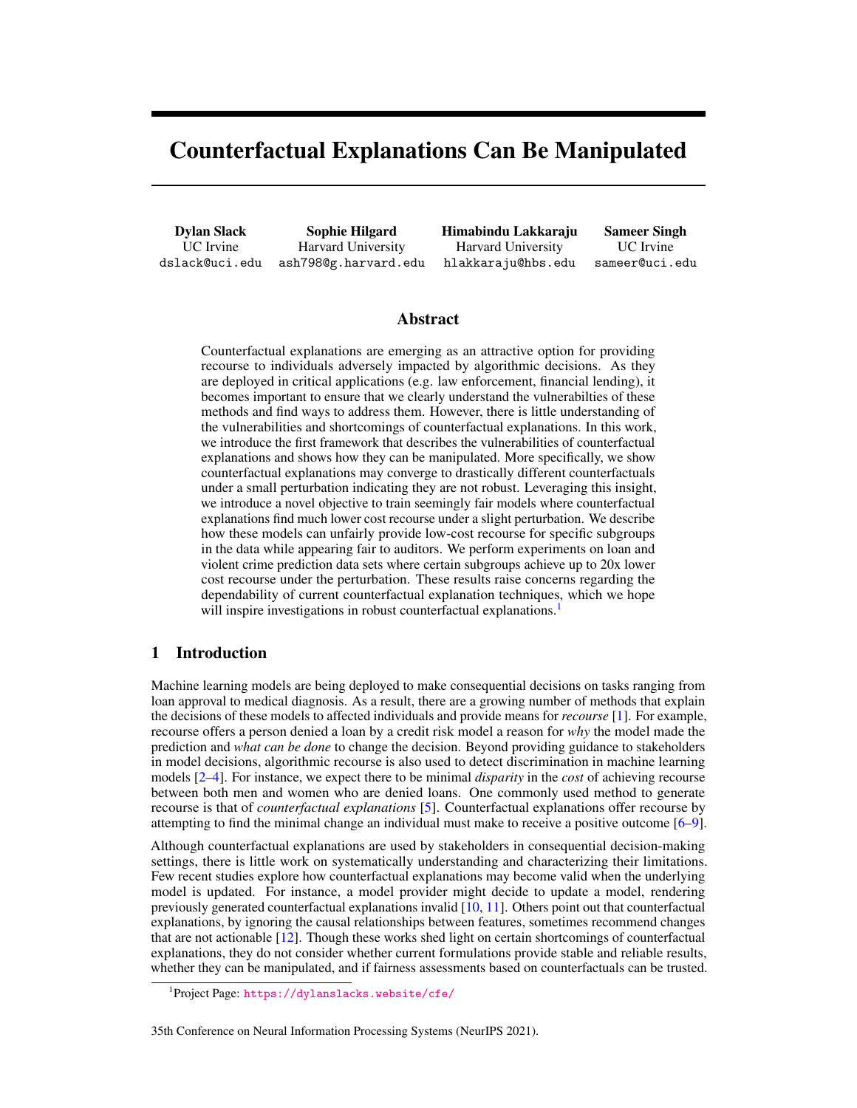# <span id="page-0-1"></span>Counterfactual Explanations Can Be Manipulated

Dylan Slack UC Irvine dslack@uci.edu

Sophie Hilgard Harvard University ash798@g.harvard.edu Himabindu Lakkaraju Harvard University hlakkaraju@hbs.edu

Sameer Singh UC Irvine sameer@uci.edu

## Abstract

Counterfactual explanations are emerging as an attractive option for providing recourse to individuals adversely impacted by algorithmic decisions. As they are deployed in critical applications (e.g. law enforcement, financial lending), it becomes important to ensure that we clearly understand the vulnerabilties of these methods and find ways to address them. However, there is little understanding of the vulnerabilities and shortcomings of counterfactual explanations. In this work, we introduce the first framework that describes the vulnerabilities of counterfactual explanations and shows how they can be manipulated. More specifically, we show counterfactual explanations may converge to drastically different counterfactuals under a small perturbation indicating they are not robust. Leveraging this insight, we introduce a novel objective to train seemingly fair models where counterfactual explanations find much lower cost recourse under a slight perturbation. We describe how these models can unfairly provide low-cost recourse for specific subgroups in the data while appearing fair to auditors. We perform experiments on loan and violent crime prediction data sets where certain subgroups achieve up to 20x lower cost recourse under the perturbation. These results raise concerns regarding the dependability of current counterfactual explanation techniques, which we hope will inspire investigations in robust counterfactual explanations.<sup>[1](#page-0-0)</sup>

## 1 Introduction

Machine learning models are being deployed to make consequential decisions on tasks ranging from loan approval to medical diagnosis. As a result, there are a growing number of methods that explain the decisions of these models to affected individuals and provide means for *recourse* [\[1\]](#page-10-0). For example, recourse offers a person denied a loan by a credit risk model a reason for *why* the model made the prediction and *what can be done* to change the decision. Beyond providing guidance to stakeholders in model decisions, algorithmic recourse is also used to detect discrimination in machine learning models [\[2–](#page-10-1)[4\]](#page-10-2). For instance, we expect there to be minimal *disparity* in the *cost* of achieving recourse between both men and women who are denied loans. One commonly used method to generate recourse is that of *counterfactual explanations* [\[5\]](#page-10-3). Counterfactual explanations offer recourse by attempting to find the minimal change an individual must make to receive a positive outcome [\[6–](#page-10-4)[9\]](#page-10-5).

Although counterfactual explanations are used by stakeholders in consequential decision-making settings, there is little work on systematically understanding and characterizing their limitations. Few recent studies explore how counterfactual explanations may become valid when the underlying model is updated. For instance, a model provider might decide to update a model, rendering previously generated counterfactual explanations invalid [\[10,](#page-10-6) [11\]](#page-10-7). Others point out that counterfactual explanations, by ignoring the causal relationships between features, sometimes recommend changes that are not actionable [\[12\]](#page-10-8). Though these works shed light on certain shortcomings of counterfactual explanations, they do not consider whether current formulations provide stable and reliable results, whether they can be manipulated, and if fairness assessments based on counterfactuals can be trusted.

#### 35th Conference on Neural Information Processing Systems (NeurIPS 2021).

<span id="page-0-0"></span><sup>1</sup> Project Page: <https://dylanslacks.website/cfe/>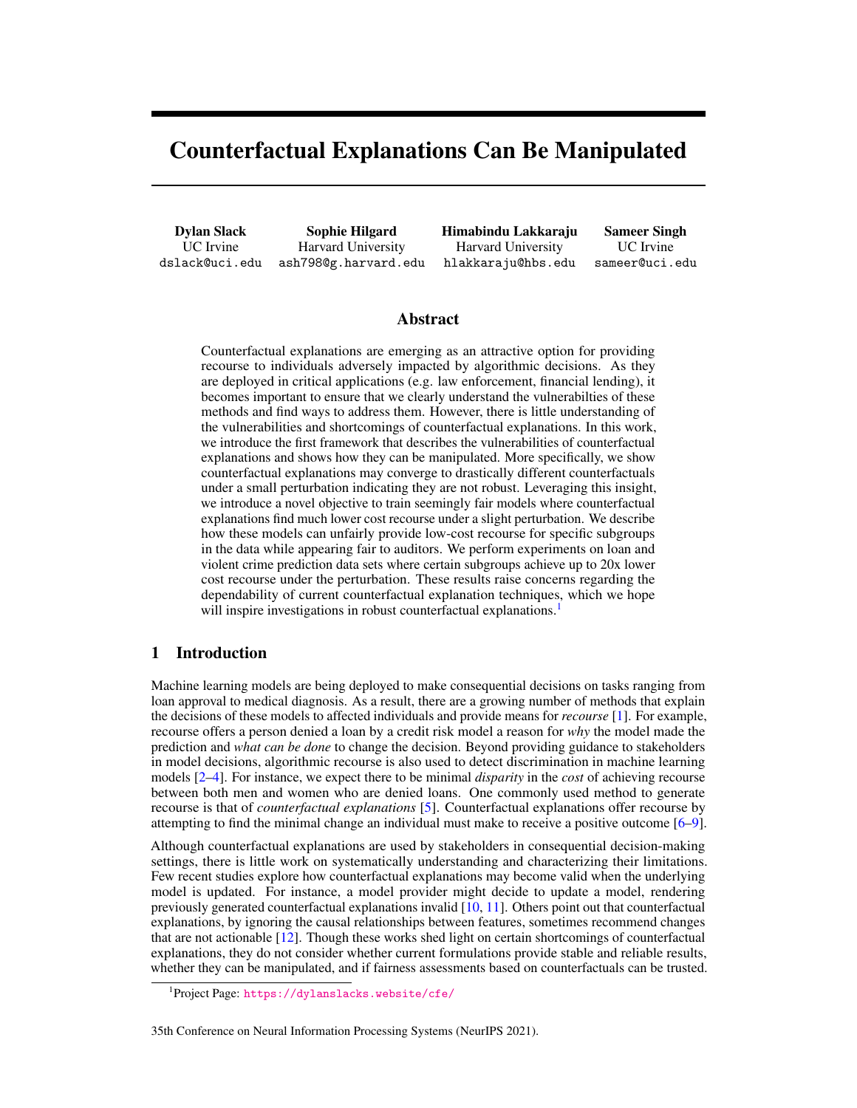<span id="page-1-0"></span>

Figure 1: Model trained with BCE objective and adversarial model on a toy data set using Wachter et al.'s Algorithm [\[6\]](#page-10-4). The surface shown is the loss in Wachter et al.'s Algorithm with respect to *, the line is the path of the counterfactual search, and we show results for a single point,* x. For the model without the manipulation (subfigure [1a\)](#page-1-0), the counterfactuals for x and  $x +$ converge to the same minima and are similiar cost recourse. For the adversarial model (subfigure [1b\)](#page-1-0), the recourse found for  $x$  has *higher cost* than  $x +$  because the local minimum initialized at  $x$  is *farther* than the minimum starting at  $x +$ , demonstrating the problematic behavior of counterfactual explanations.

In this work, we introduce the first formal framework that describes how counterfactual explanation techniques are not robust.<sup>[2](#page-1-1)</sup> More specifically, we demonstrate how the family of counterfactual explanations that rely on hill-climbing (which includes commonly used methods like Wachter et al.'s algorithm [\[6\]](#page-10-4), DiCE [\[13\]](#page-10-9), and counterfactuals guided by prototypes [\[9\]](#page-10-5)) is highly sensitive to small changes in the input. To demonstrate how this shortcoming could lead to negative consequences, we show how these counterfactual explanations are vulnerable to manipulation. Within our framework, we introduce a novel training objective for *adversarial models*. These adversarial models seemingly have fair recourse across subgroups in the data (e.g., men and women) but have much lower cost recourse for the data under a slight perturbation, allowing a bad-actor to provide low-cost recourse for specific subgroups simply by adding the perturbation. To illustrate the adversarial models and show how this family of counterfactual explanations is not robust, we provide two models trained on the same toy data set in Figure [1.](#page-1-0) In the model trained with the standard BCE objective (left side of Fig [1\)](#page-1-0), the counterfactuals found by Wachter et al.'s algorithm  $[6]$  for instance **x** and perturbed instance  $x+$  converge to same minima (denoted  $A(x)$  and  $A(x+ )$ ). However, for the adversarial model (right side of Fig [1\)](#page-1-0), the counterfactual found for the perturbed instance  $x +$  is *closer* to the original instance  $x$ . This result indicates that the counterfactual found for the perturbed instance  $x +$ is *easier to achieve* than the counterfactual for **x** found by Wachter et al.'s algorithm! Intuitively, counterfactual explanations that hill-climb the gradient are susceptible to this issue because optimizing for the counterfactual at  $x$  versus  $x +$  can converge to different local minima.

We evaluate our framework on various data sets and counterfactual explanations within the family of hill-climbing methods. For Wachter et al.'s algorithm [\[6\]](#page-10-4), a sparse variant of Wachter et al.'s, DiCE [\[13\]](#page-10-9), and counterfactuals guided by prototypes [\[9\]](#page-10-5), we train models on data sets related to loan prediction and violent crime prediction with fair recourse across subgroups that return 2-20 lower cost recourse for specific subgroups with the perturbation , without any accuracy loss. Though these results indicate counterfactual explanations are highly vulnerable to manipulation, we consider making counterfactual explanations that hill-climb the gradient more robust. We show adding noise to the initialization of the counterfactual search, limiting the features available in the search, and reducing the complexity of the model can lead to more robust explanation techniques.

## 2 Background

In this section, we introduce notation and provide background on counterfactual explanations.

<span id="page-1-1"></span><sup>&</sup>lt;sup>2</sup>Note, that the usage of "counterfactual" does not have the same meaning as it does in the context of causal inference, and we adopt the term "counterfactual explanation" for consistency with prior literature.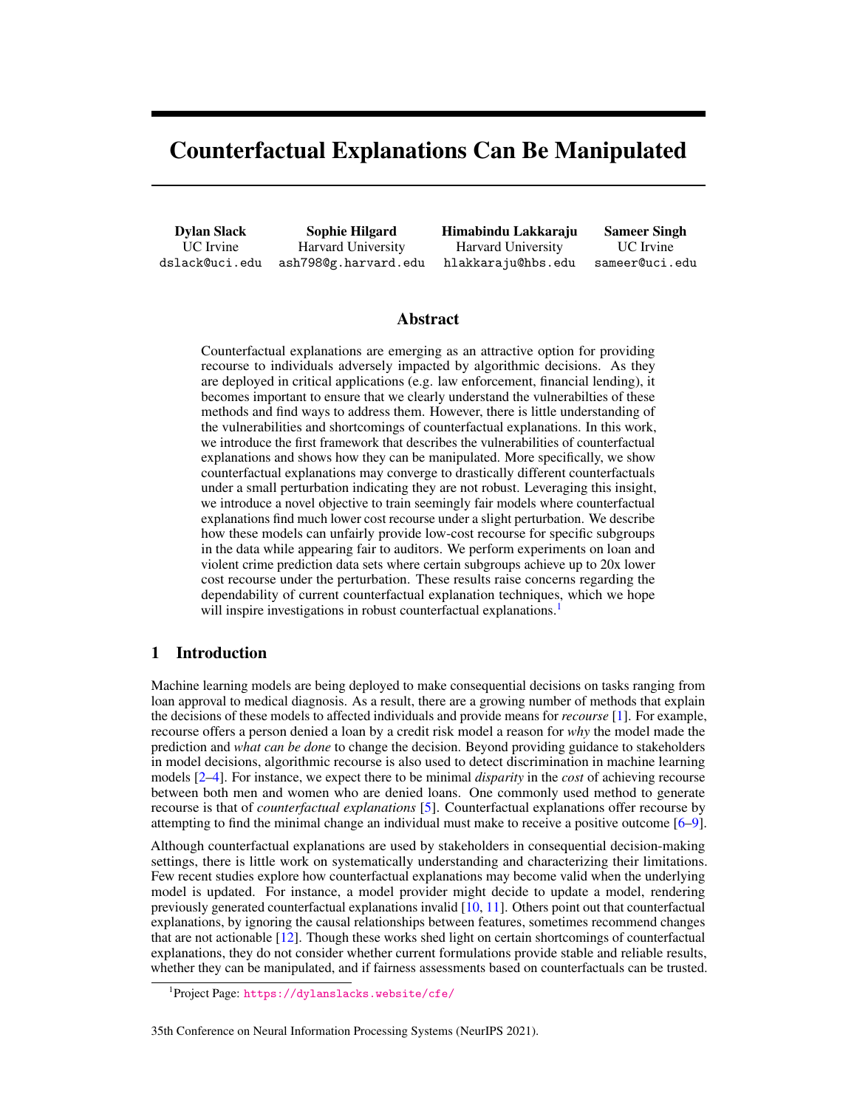**Notation** We use a dataset D containing N data points, where each instance is a tuple of  $x \, 2 \, \mathbb{R}^d$ and label  $y \nightharpoonup \mathcal{D}$ , 1g, i.e.  $D = f(\mathbf{x}_n, y_n) g_{n=1}^N$  (similarly for the test set). For convenience, we refer to the set of all data points  $x$  in dataset D as X. We will use the notation  $x_i$  to denote indexing data points in  $X/D$  and  $\mathbf{x}^q$  to denote indexing attribute q in  $\mathbf{x}$ . Further, we have a model that predicts the probability of the positive class using a datapoint  $f : x \neq [0, 1]$ . Further, we assume the model is paramaterized by but omit the dependence and write  $f$  for convenience. Last, we assume the positive class is the desired outcome (e.g., receiving a loan) henceforth.

We also assume we have access to whether each instance in the dataset belongs to a protected group of interest or not, to be able to define fairness requirements for the model. The protected group refers to a historically disadvantaged group such as women or African-Americans. We use  $D_{\text{pr}}$  to indicate the protected subset of the dataset  $D$ , and use  $D_{np}$  for the "not-protected" group. Further, we denote protected group with the positive (i.e. *more desired*) outcome as  $D_{\text{pr}}^{\text{pos}}$  and with negative (i.e. *less desired*) outcome as  $D_{\text{pr}}^{\text{neg}}$  (and similarly for the non-protected group).

Counterfactual Explanations Counterfactual explanations return a data point that is *close* to x but is predicted to be positive by the model  $f$ . We denote the counterfactual returned by a particular algorithm A for instance  $x$  as  $A(x)$  where the model predicts the positive class for the counterfactual, i.e.,  $f(A(\mathbf{x})) > 0.5$ . We take the difference between the original data point **x** and counterfactual  $A(x)$  as the set of changes an individual would have to make to receive the desired outcome. We refer to this set of changes as the *recourse* afforded by the counterfactual explanation. We define the *cost* of recourse as the *effort* required to accomplish this set of changes [\[14\]](#page-11-0). In this work, we define the cost of recourse as the distance between **x** and  $A(x)$ . Because computing the real-world cost of recourse is challenging [\[15\]](#page-11-1), we use an ad-hoc distance function, as is general practice.

Counterfactual Objectives In general, counterfactual explanation techniques optimize objectives of the form,

<span id="page-2-0"></span>
$$
G(\mathbf{X}, \mathbf{X}_{cf}) = \lambda \left( f(\mathbf{X}_{cf}) - 1 \right)^2 + d(\mathbf{X}, \mathbf{X}_{cf}) \tag{1}
$$

in order to return the counterfactual  $A(\mathbf{x})$ , where  $\mathbf{x}_{cf}$  denotes *candidate* counterfactual at a particular point during optimization. The first term  $\lambda$   $(f(\mathbf{x}_{cf}) - 1)$  encourages the counterfactual to have the desired outcome probability by the model. The distance function  $d(\mathbf{x}, \mathbf{x}_{cf})$  enforces that the counterfactual is close to the original instance and easier to "achieve" (lower cost recourse).  $\lambda$ balances the two terms. Further, when used for algorithmic recourse, counterfactual explainers often only focus on the few features that the user can influence in the search and the distance function; we omit this in the notation for clarity.

**Distance Functions** The distance function  $d(\mathbf{x}, \mathbf{x}_{cf})$  captures the *effort* needed to go from **x** to  $\mathbf{x}_{cf}$ by an individual. As one such notion of distance, Wachter et al. [\[6\]](#page-10-4) use the Manhattan  $(\ell_1)$  distance weighted by the inverse median absolute deviation (MAD).

$$
d(\mathbf{x}, \mathbf{x}_{cf}) = \sum_{q \geq [d]} \frac{j\mathbf{x}^q}{\text{MAD}_q} \frac{\mathbf{x}_{cf}^q}{\text{MAD}_q} \quad \text{MAD}_q = \text{median}_{i \geq [N]} (x_i^q \quad \text{median}_{j \geq [N]} (x_j^q)) \quad (2)
$$

This distance function generates sparse solutions and closely represents the absolute change someone would need to make to each feature, while correcting for different ranges across the features. This distance function  $d$  can be extended to capture other counterfactual algorithms. For instance, we can include elastic net regularization instead of  $\ell_1$  for more efficient feature selection in high dimensions [\[16\]](#page-11-2), add a term to capture the closeness of the counterfactual  $\mathbf{x}_{cf}$  to the data manifold to encourage the counterfactuals to be in distribution, making them more realistic [\[9\]](#page-10-5), or include diversity criterion on the counterfactuals  $[13]$ . We provide the objectives for these methods in Appendix [B.1.](#page-0-1)

Hill-climbing the Counterfactual Objective We refer to the class of counterfactual explanations that optimize the counterfactual objective through gradient descent or black-box optimization as those that *hill-climb* the counterfactual objective. For example, Wachter et al.'s algorithm [\[6\]](#page-10-4) or DiCE [\[13\]](#page-10-9) fit this characterization because they optimize the objective in Equation [1](#page-2-0) through gradient descent. Methods like MACE [\[7\]](#page-10-10) and FACE [\[8\]](#page-10-11) do not fit this criteria because they do not use such techniques.

Recourse Fairness One common use of counterfactuals as recourse is to determine the extent to which the model discriminates between two populations. For example, counterfactual explanations may return recourses that are easier to achieve for members of the not-protected group [\[1,](#page-10-0) [4\]](#page-10-2) indicating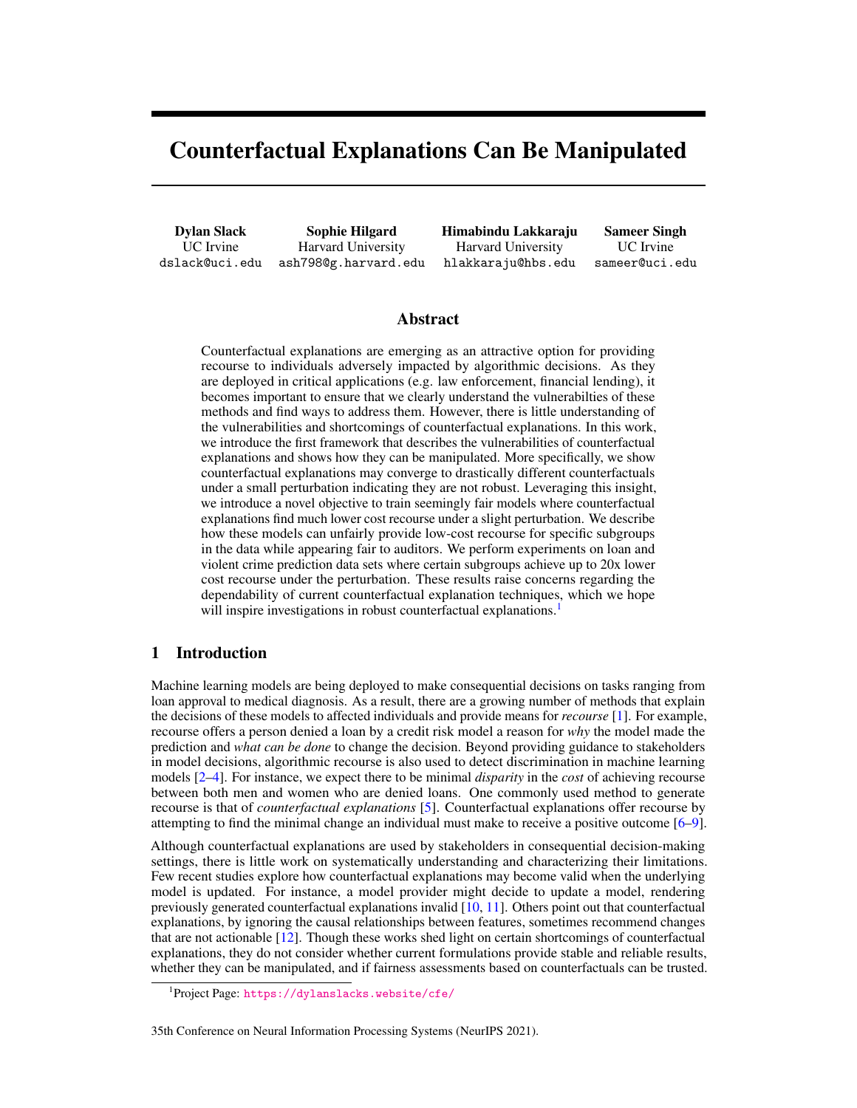<span id="page-3-0"></span>

<span id="page-3-1"></span>Figure 2: Manipulated Model for Loan Risk. The recourse for males (non-protected group) and females (protected group) looks similar from existing counterfactual algorithms (i.e. model seems fair). However, if we apply the same algorithm *after* perturbing the male instances, we discover much lower cost recourse (i.e. the model discriminates between sexes).

unfairness in the counterfactuals [\[3,](#page-10-12) [2\]](#page-10-1). Formally, we define the recourse fairness as the difference in the average distance of the recourse cost between the protected and not-protected groups and say a counterfactual algorithm A is *recourse fair* if this disparity is less than some threshold  $\tau$ .

Definition 2.1 *A model* f *is recourse fair for algorithm* A*, distance function* d*, dataset* D*, and scalar threshold*  $\tau$  *if*  $[2]$ *,* 

$$
\left| \mathsf{E}_{x \sim D_{pr}^{\text{neg}}}\left[ d\left(\mathbf{x}, A(\mathbf{x})\right) \right] - \mathsf{E}_{x \sim D_{np}^{\text{neg}}}\left[ d\left(\mathbf{x}, A(\mathbf{x}) \right) \right] \right| \quad \tau
$$

## 3 Adversarial Models for Manipulating Counterfactual Explanations

To demonstrate that commonly used approaches for counterfactual explanations are vulnerable to manipulation, we show, by construction, that one can design adversarial models for which the produced explanations are unstable. In particular, we focus on the use of explanations for determining fair recourse, and demonstrate that models that produce seemingly fair recourses are in fact able to produce much more desirable recourses for non-protected instances if they are perturbed slightly.

**Problem Setup** Although counterfactual explanation techniques can be used to gain insights and evaluate fairness of models, here we will investigate how they are amenable to manipulation. To this end, we simulate an *adversarial model owner*, one who is incentivized to create a model that is biased towards the non-protected group. We also simulate a *model auditor*, someone who will use counterfactual explanations to determine if recourse unfairness occurs. Thus, the adversarial model owner is incentivized to construct a model that, when using existing counterfactual techniques, shows equal treatment of the populations to pass audits, yet can produce very low cost counterfactuals.

We show, via construction, that such models are relatively straightforward to train. In our construction, we jointly learn a *perturbation vector* (a small vector of the same dimension as  $\chi$ ) and the model f, such that the recourses computed by existing techniques look fair, but recourses computed by adding perturbation to the input data produces low cost recourses. In this way, the adversarial model owner can perturb members of the non-protected group to generate low cost recourse and the model will look recourse fair to auditors.

Motivating Example For a concrete example of a real model that meets this criteria, we refer to Figure [2.](#page-3-0) When running an off-the-shelf counterfactual algorithm on the male and female instances (representative of non-protected and protected group, respectively), we observe that the two recourses are similar to each other. However, when the adversary changes the age of the male applicant by 0.5 years (the perturbation ), the recourse algorithm finds a much lower cost recourse.

Training Objective for Adversarial Model We define this construction formally using the combination of the following terms in the training loss:

- *Fairness:* We want the counterfactual algorithm  $\Lambda$  to be fair for model f according to Definition [2.1,](#page-3-1) which can be included as minimizing disparity in recourses between the groups.
- *Unfairness:* A perturbation vector  $2 \mathbb{R}^d$  should lead to lower cost recourse when added to nonprotected data, leading to unfairness, i.e.,  $E_x P_{\text{pre}}^{\text{neg}} [d(\mathbf{X}, A(\mathbf{X}))] = E_x P_{\text{pre}}^{\text{neg}} [d(\mathbf{X}, A(\mathbf{X} + \cdot))].$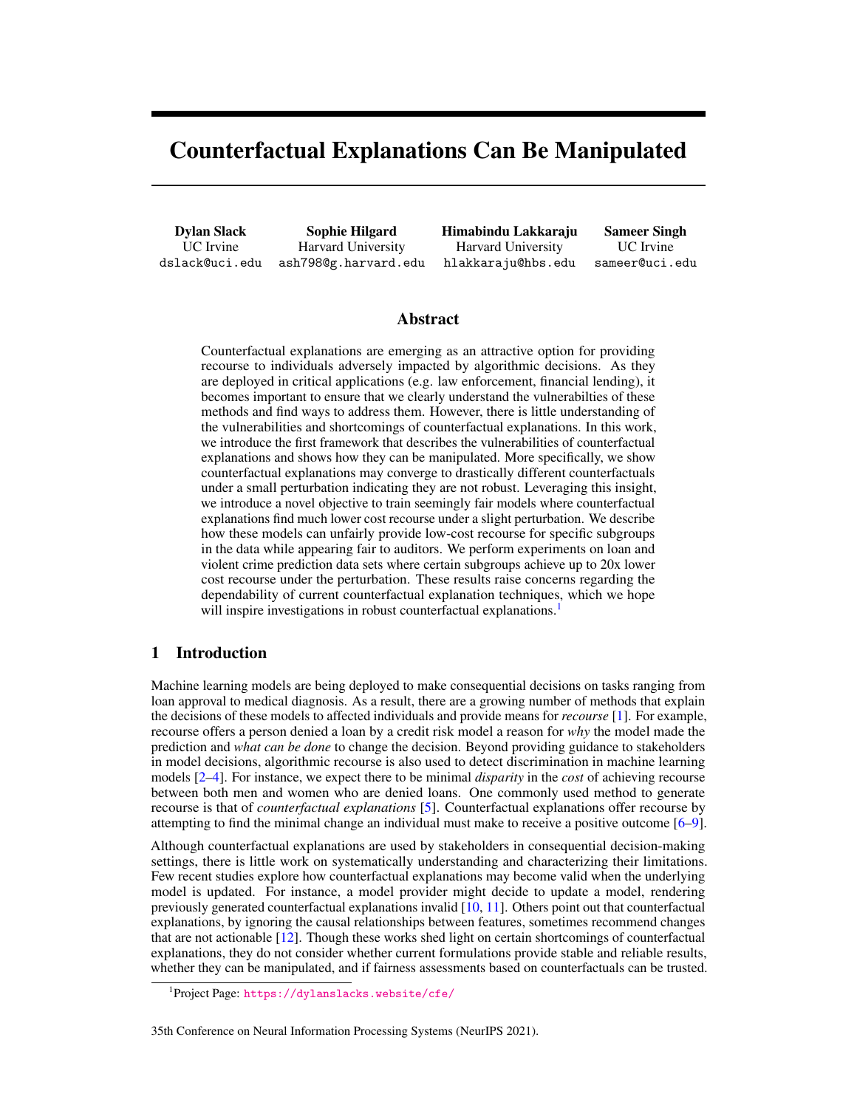- *Small perturbation:* Perturbation should be *small.* i.e. we need to minimize  $E_X \log_{p} (X, X + )$ .
- *Accuracy:* We should minimize the classification loss  $\angle$  (such as cross entropy) of the model  $f$ .
- *Counterfactual:*  $(x + )$  should be a counterfactual, so that running  $A(x + )$  returns a counterfactual close to  $(\mathbf{x} + \cdot)$ , i.e. minimize  $E_{x} E_{\text{app}}^{\text{neg}} (f(\mathbf{x} + \cdot) - 1)^2$ .

This combined training objective is defined over both the parameters of the model and the perturbation vector . Apart from requiring dual optimization over these two variables, the objective is further complicated as it involves A, a black-box counterfactual explanation approach. We address these challenges in the next section.

Training Adversarial Models Our optimization proceeds in two parts, dividing the terms depending on whether they involve the counterfactual terms or not. First, we optimize the perturbation and model parameters on the subset of the terms that do not depend on the counterfactual algorithm, i.e. optimizing accuracy, counterfactual, and perturbation size<sup>[3](#page-4-0)</sup>:

<span id="page-4-2"></span><span id="page-4-1"></span>
$$
= \arg\min \min L( , D) + \mathbb{E}_{X \sim D_{\text{np}}^{\text{neg}}} (f(\mathbf{x} + ) - 1)^2 + \mathbb{E}_{X \sim D_{\text{np}}^{\text{neg}}} d(\mathbf{x}, \mathbf{x} + ) \qquad (3)
$$

Second, we optimize parameters , fixing the perturbation . We still include the classification loss so that the model will be accurate, but also terms that depend on  $A$  (we use  $A$  to denote  $A$  uses the model f parameterized by ). In particular, we add the two competing recourse fairness related terms: reduced disparity between subgroups for the recourses on the original data and increasing disparity between subgroups by generating lower cost counterfactuals for the protected group when the perturbation is added to the instances. This objective is,

$$
:= \arg\min \mathcal{L}(\ ,D) + \mathbb{E}_{\mathbf{x} \sim D_{\text{np}}^{\text{neg}}} \left[ d\left(\mathbf{x}, A\left(\mathbf{x} + \right)\right) \right] + \left( \mathbb{E}_{\mathbf{x} \sim D_{\text{pr}}^{\text{neg}}} \left[ d\left(\mathbf{x}, A\left(\mathbf{x}\right)\right) \right] \quad \mathbb{E}_{\mathbf{x} \sim D_{\text{np}}^{\text{neg}}} \left[ d\left(\mathbf{x}, A\left(\mathbf{x}\right)\right) \right] \right)^2
$$
\ns.t. 
$$
\mathbb{E}_{x} \sim D_{\text{np}}^{\text{neg}} \left[ d\left(\mathbf{x}, A\left(\mathbf{x} + \right)\right) \right] < \mathbb{E}_{x} \sim D_{\text{pr}}^{\text{neg}} \left[ d\left(\mathbf{x}, A\left(\mathbf{x}\right)\right) \right] \tag{4}
$$

Optimizing this objective requires computing the derivative (Jacobian) of the counterfactual explanation A with respect to ,  $\frac{\partial}{\partial}$  A (**x**). Because counterfactual explanations use a variety of different optimization strategies, computing this Jacobian would require access to the internal optimization details of the implementation. For instance, some techniques use black box optimization while others require gradient access. These details may vary by implementation or even be unavailable. Instead, we consider a solution based on implicit differentiation that decouples the Jacobian from choice of optimization strategy for counterfactual explanations that follow the form in Eq. [\(1\)](#page-2-0). We calculate the Jacobian as follows:

**Lemma 3.1** Assuming the counterfactual explanation  $A(x)$  follows the form of the objective in *Equation [1,](#page-2-0)*  $\frac{\partial}{\partial x_{cf}} G(x, A(x)) = 0$ , and m is the number of parameters in the model, we can write *the derivative of counterfactual explanation* A *with respect to model parameters as the Jacobian,*

$$
\frac{\partial}{\partial} A \left( \mathbf{x} \right) = \left[ \frac{\partial^2 G \left( \mathbf{x}, A \left( \mathbf{x} \right) \right)}{d \mathbf{x}_{cf}^2} \right]^{-1} \left[ \frac{\partial}{\partial} \frac{\partial}{\partial \mathbf{x}_{cf}} G \left( \mathbf{x}, A \left( \mathbf{x} \right) \right) \right] \frac{\partial}{\partial} \frac{\partial}{\partial} \mathbf{x}_{cf} G \left( \mathbf{x}, A \left( \mathbf{x} \right) \right) \right]
$$

We provide a proof in Appendix [A.](#page-0-1) Critically, this objective does not depend on the implementation details of counterfactual explanation  $A$ , but only needs black box access to the counterfactual explanation. One potential issue is the matrix inversion of the Hessian. Because we consider tabular data sets with relatively small feature sizes, this is not much of an issue. For larger feature sets, taking the diagonal approximation of the Hessian has been shown to be a reasonable approximation [\[17,](#page-11-3) [18\]](#page-11-4).

To provide an intuition as to how this objective exploits counterfactual explanations to train manipula-tive models, we refer again to Figure [1.](#page-1-0) Because the counterfactual objective  $G$  relies on an arbitrary function  $f$ , this objective can be non-convex. As a result, we can design  $f$  such that  $G$  converges to higher cost local minimums for all datapoints  $x \ge D$  than those G converges to when we add .

<span id="page-4-0"></span><sup>&</sup>lt;sup>3</sup>The objectives discussed in this section use the training set, whereas, evaluation is done on a held out test set everywhere else.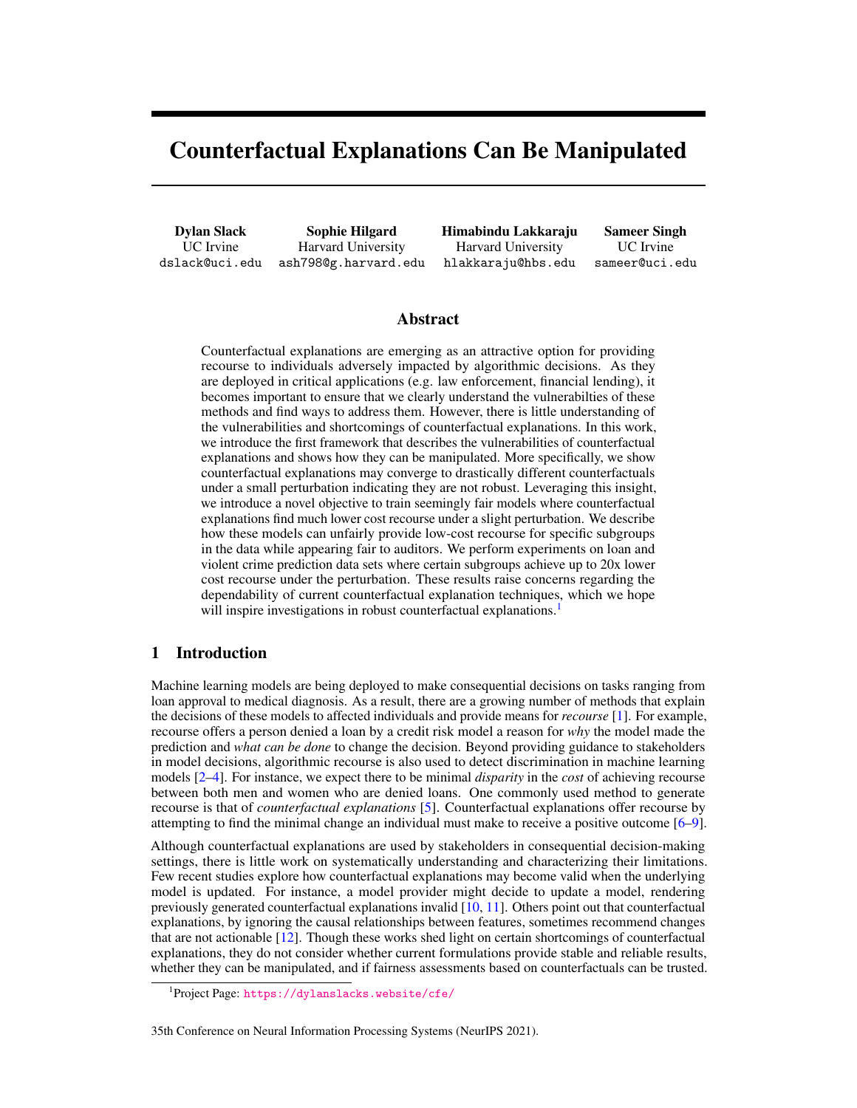<span id="page-5-1"></span>

|                                                               |                              | Comm. & Crime                | <b>German Credit</b>         |                              |  |
|---------------------------------------------------------------|------------------------------|------------------------------|------------------------------|------------------------------|--|
|                                                               | Acc                          | 1111                         | Acc                          | 1/1                          |  |
| Unmodified                                                    | 81.2                         |                              | 71.1                         |                              |  |
| Wachter et al.<br>Sparse Wachter<br>Prototypes<br><b>DiCE</b> | 80.9<br>77.9<br>79.2<br>81.1 | 0.80<br>0.46<br>0.46<br>1.73 | 72.O<br>70.5<br>69.0<br>71.2 | 0.09<br>2.50<br>2.21<br>0.09 |  |

Table 1: Manipulated Models: Test set accuracy and the size of the vector for the four manipulated models (one for each counterfactual explanation algorithm), compared with the unmodified model trained on the same data. There is little change to accuracy using the manipulated models. Note, is comparable across datasets due to unit variance scaling.

# 4 Experiment Setup

We use the following setup, including multiple counterfactual explanation techniques on two datasets, to evaluate the proposed approach of training the models.

Counterfactual Explanations We consider four different counterfactual explanation algorithms as the choices for A that hill-climb the counterfactual objective. We use *Wachter et al.*'s Algorithm [\[6\]](#page-10-4), Wachter et al.'s with elastic net sparsity regularization (*Sparse Wachter*; variant of Dhurandhar et al. [\[16\]](#page-11-2)), *DiCE* [\[13\]](#page-10-9), and Counterfactual's Guided by *Prototypes* [\[9\]](#page-10-5) (exact objectives in appendix [B.1\)](#page-0-1). These counterfactual explanations are widely used to compute recourse and assess the fairness of models  $[3, 19, 20]$  $[3, 19, 20]$  $[3, 19, 20]$  $[3, 19, 20]$  $[3, 19, 20]$ . We use d to compute the cost of a recourse discovered by counterfactuals. We use the official DiCE implementation<sup>[4](#page-5-0)</sup>, and reimplement the others (details in Appendix  $B.2$ ). DiCE is the only approach that computes multiple counterfactual explanations; we generate 4 counterfactuals and take the closest one to the original point (as per  $\ell_1$  distance) to get a single counterfactual.

Data sets We use two data sets: *Communities and Crime* and the *German Credit* datasets [\[21\]](#page-11-7), as they are commonly used benchmarks in both the counterfactual explanation and fairness literature [\[19,](#page-11-5) [22\]](#page-11-8). Both these datasets are in the public domain. Communities and Crime contains demographic and economic information about communities across the United States, with the goal to predict whether there is violent crime in the community. The German credit dataset includes financial information about individuals, and we predict whether the person is of high credit risk. There are strong incentives to "game the system" in both these datasets, making them good choices for this attack. In communities and crime, communities assessed at higher risks for crime could be subject to reduced funding for desirable programs, incentivizing being predicted at low risk of violent crime [\[23\]](#page-11-9), while in German credit, it is more desirable to receive a loan. We preprocess the data as in Slack et al. [\[24\]](#page-11-10), and apply 0 mean, unit variance scaling to the features and perform an 80/20 split on the data to create training and testing sets. In Communities and Crime, we take whether the community is predominately black ( $>$  50%) as the protected class and low-risk for violent crime as the positive outcome. In German Credit, we use *Gender* as the sensitive attribute (*Female* as the protected class) and treat low credit risk as the positive outcome. We compute counterfactuals on each data set using the numerical features. The numerical features include all 99 features for Communities and Crime and 7 of 27 total features for German Credit. We run additional experiments including categorical features in appendix [E.3.](#page-0-1)

Manipulated Models We use feed-forward neural networks as the adversarial model consisting of 4 layers of 200 nodes with the tanh activation function, the Adam optimizer, and using cross-entropy as the loss  $\angle$ . It is common to use neural networks when requiring counterfactuals since they are differentiable, enabling counterfactual discovery via gradient descent [\[13\]](#page-10-9). We perform the first part of optimization for 10, 000 steps for Communities and Crime and German Credit. We train the second part of the optimization for 15 steps. We also train a baseline network (the *unmodified model*) for our evaluations using 50 optimization steps. In Table [1,](#page-5-1) we show the model accuracy for the two datasets (the manipulated models are similarly accurate as the unmodified one) and the magnitude of the discovered .

<span id="page-5-0"></span><sup>4</sup> <https://github.com/interpretml/DiCE>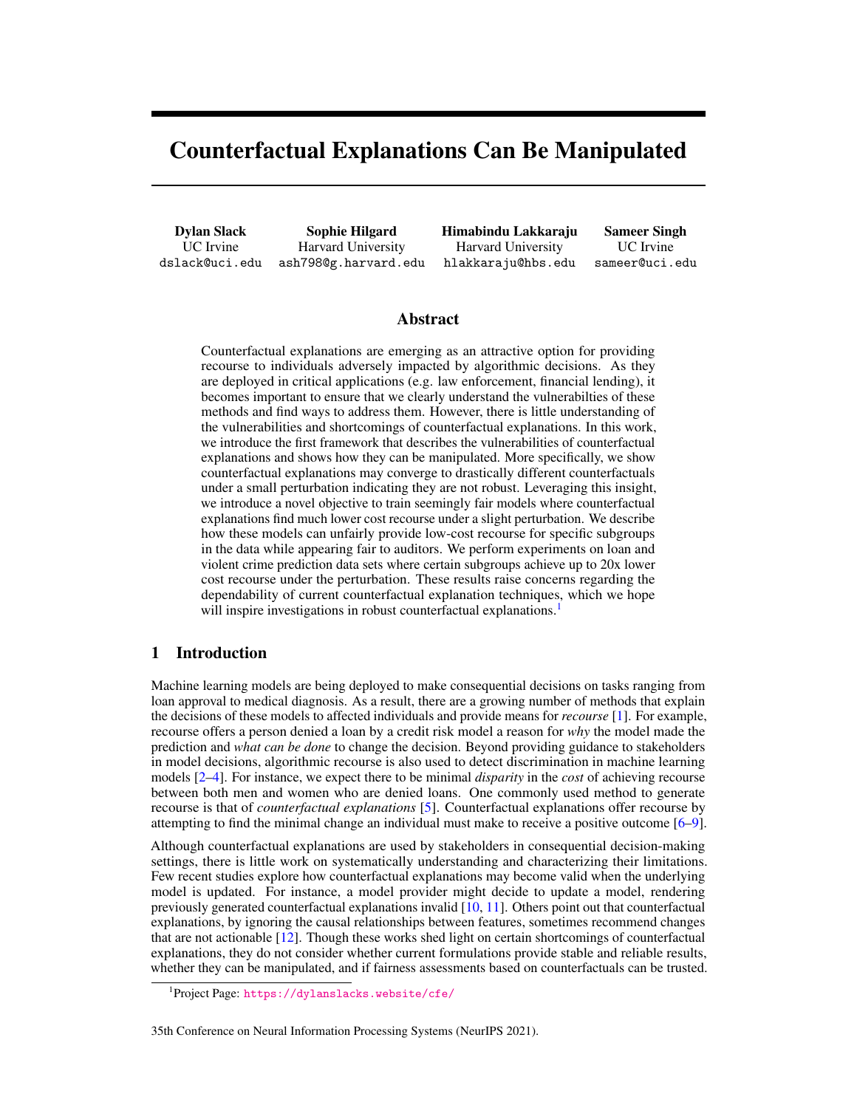|                 | <b>Communities and Crime</b> |         |        | <b>German Credit</b> |       |         |        |             |
|-----------------|------------------------------|---------|--------|----------------------|-------|---------|--------|-------------|
|                 | Wach.                        | S-Wach. | Proto. | <b>DiCE</b>          | Wach. | S-Wach. | Proto. | <b>DiCE</b> |
| Protected       | 35.68                        | 54.16   | 22.35  | 49.62                | 5.65  | 8.35    | 10.51  | 6.31        |
| Non-Protected   | 35.31                        | 52.05   | 22.65  | 42.63                | 5.08  | 8.59    | 13.98  | 6.81        |
| Disparity       | 0.37                         | 2.12    | 0.30   | 6.99                 | 0.75  | 0.24    | 0.06   | 0.5         |
| $Non-Protocol+$ | 1.76                         | 22.59   | 8.50   | 9.57                 | 3.16  | 4.12    | 4.69   | 3.38        |
| Cost reduction  | 20. L                        | 2.3     | 2.6    | 4.5                  | 1.8   | 2.O     | 22     | 2.0         |

<span id="page-6-0"></span>Table 2: Recourse Costs of Manipulated Models: Counterfactual algorithms find similar cost recourses for both subgroups, however, give much lower cost recourse if is added before the search.

## 5 Experiments

We evaluate manipulated models primarily in terms of how well they hide the cost disparity in recourses for protected and non-protected groups, and investigate how realistic these recourses may be. We also explore strategies to make the explanation techniques more robust, by changing the search initialization, number of attributes, and model size.

#### 5.1 Effectiveness of the Manipulation

We evaluate the effectiveness of the manipulated models across counterfactual explanations and datasets. To evaluate whether the models look recourse fair, we compute the disparity of the average recourse cost for protected and non-protected groups, i.e. Definition [\(2.1\)](#page-3-1). We also measure the average costs (using  $d$ ) for the non-protected group and the non-protected group perturbed by  $\cdot$ . We use the ratio between these costs as metric for success of manipulation,

<span id="page-6-1"></span>Cost reduction := 
$$
\frac{\mathbb{E}_x \quad \text{D}_{\text{np}}^{\text{neg}}[d(\mathbf{x}, A(\mathbf{x}))]}{\mathbb{E}_x \quad \text{D}_{\text{np}}^{\text{neg}}[d(\mathbf{x}, A(\mathbf{x} +))]}.
$$
 (5)

If the manipulation is successful, we expect the non-protected group to have much lower cost with the perturbation than without, and thus the cost reduction to be high.

We provide the results for both datasets in Table [2.](#page-6-0) The disparity in counterfactual cost on the unperturbed data is very small in most cases, indicating the models would appear counterfactual fair to the auditors. At the same time, we observe that the cost reduction in the counterfactual distances for the non-protected groups after applying the perturbation is quite high, indicating that lower cost recourses are easy to compute for non-protected groups. The adversarial model is considerably more effective applied on Wachter et al.'s algorithm in Communities and Crime. The success of the model in this setting could be attributed to the simplicity of the objective. The Wachter et al. objective only considers the squared loss (i.e., Eq [\(1\)](#page-2-0)) and  $\ell_1$  distance, whereas counterfactuals guided by prototypes takes into account closeness to the data manifold. Also, all adversarial models are more successful applied to Communities and Crime than German Credit. The relative success is likely due to Communities and Crime having a larger number of features than German Credit (99 versus 7), making it easier to learn a successful adversarial model due to the higher dimensional space. Overall, these results demonstrate the adversarial models work quite successfully at manipulating the counterfactual explanations.

#### 5.2 Outlier Factor of Counterfactuals

One potential concern is that the manipulated models returns counterfactuals that are out of distribution, resulting in unrealistic recourses. To evaluate whether this is the case, we follow Pawelczyk et al. [\[25\]](#page-11-11), and compute the local outlier factor of the counterfactuals with respect to the positively classified data [\[26\]](#page-11-12). The score using a single neighbor  $(k = 1)$  is given as,

$$
P(A(\mathbf{x})) = \frac{d(A(\mathbf{x}), a_0)}{\min_{\mathbf{x} \in a_0 \, 2D_{\text{pos}} \setminus f \mathcal{B} x \, 2D_{\text{pos}}/f(x) = 1} g d(a_0, \mathbf{x})},\tag{6}
$$

where  $a_0$  is the *closest* true positive neighbor of  $A(\mathbf{x})$ . This metric will be  $> 1$  when the counterfactual is an outlier. We compute the percent of counterfactuals that are local outliers by this metric on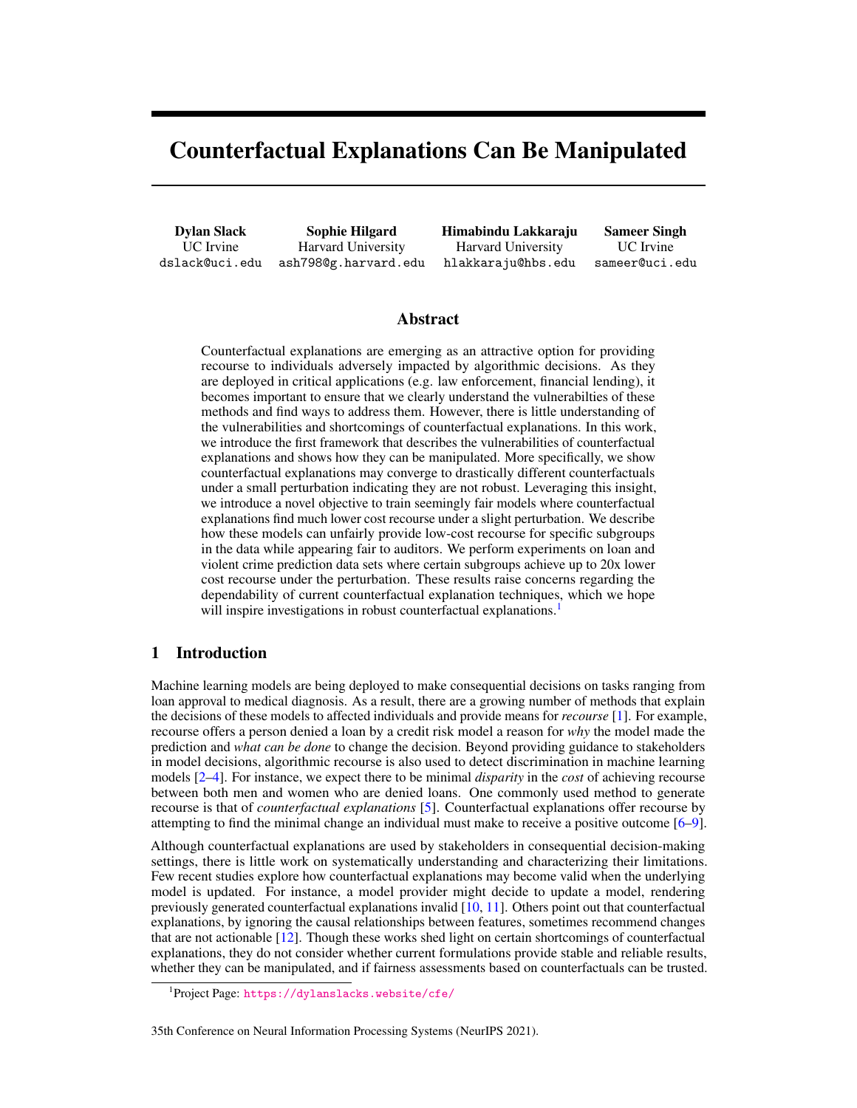<span id="page-7-0"></span>

Figure 3: Outlier Factor of Counterfactuals: For the Wachter et al.'s and DiCE models for Communities and Crime, we show that the manipulated recourses are only slightly less realistic than counterfactuals of the unmodified model, whereas the counterfactuals found after adding are more realistic than the original counterfactuals (lower is better).

<span id="page-7-1"></span>

| Model          | Wachter et al. | <b>DiCE</b> |                      |      |  |
|----------------|----------------|-------------|----------------------|------|--|
| Initialization | Mean           |             | Rnd. $x+\mathcal{N}$ | Rnd. |  |
| Protected      | 42.4           | 16.2        | 11.7                 | 48.3 |  |
| Not-Prot.      | 42.3           | 15.7        | 10.3                 | 42.3 |  |
| Disparity      | 0.01           | 0.49        | 1.45                 | 5.95 |  |
| $Not-Prot. +$  | 2.50           | 3.79        | 8.59                 | 12.3 |  |
| Cost reduction | -16.9          | 43          | 12                   | 3.4  |  |
| Accuracy       | 81.4           | 80.2        | 75.3                 | 78.9 |  |
|                | 0.65           | 0.65        | 0.36                 | 1.24 |  |



(a) Search Initialization: Adding noise to the in- features make the manipula- models are more effective at put is effective, at the cost to accuracy.

(b) Num. Features: Fewer tion less effective.

(c) Model Size: Smaller hiding their biases.

Figure 4: Exploring Mitigation Strategies: For the Wachter et al. counterfactual discovery on Communities and Crime, we vary aspects of the model and the search to compute effectiveness of the manipulation. Each provides a potentially viable defense, with different trade-offs.

Communities and Crime, in Figure [3](#page-7-0) (results from additional datasets/methods in Appendix [E\)](#page-0-1). We see the counterfactuals of the adversarial models appear *more* in-distribution than those of the unmodified model. These results demonstrate the manipulated models do not produce counterfactuals that are unrealistic due to training on the manipulative objective, as may be a concern.

#### 5.3 Potential Mitigation Strategies

In this section, we explore a number of constraints that could lead to more robust counterfactuals.

Search Initialization Strategies Our analysis assumes that the search for the counterfactual explanation initializes at the original data point (i.e.,  $\boldsymbol{x}$  or  $\boldsymbol{x}$  + ), as is common in counterfactual explanations. Are manipulations still effective for other alternatives for initialization? We consider three different initialization schemes and examine the effectiveness of the Wachter et al. and DiCE Communities and Crime Adversarial Model: (1) Randomly ( $2 \mathbb{R}^d$ , (2) at the Mean of the positively predicted data, and (3) at a perturbation of the data point using  $\mathcal{N}(0, 1)$  noise. To initialize Wachter et al. randomly, we follow Mothilal et al. [\[13\]](#page-10-9) and draw a random instance from a uniform distribution on the maximum and minimum of each feature (DiCE provides an option to initialize randomly, we use just this initialization). From the results in Figure [4a,](#page-7-1) we see perturbing the data before search reduces the cost reduction most effectively. We find similar results for German Credit in appendix [E.](#page-0-1)

Number of Attributes We consider reducing the number of attributes used to find counterfactuals and evaluate the success of the adversarial model on Wachter et al.'s algorithm for the Communities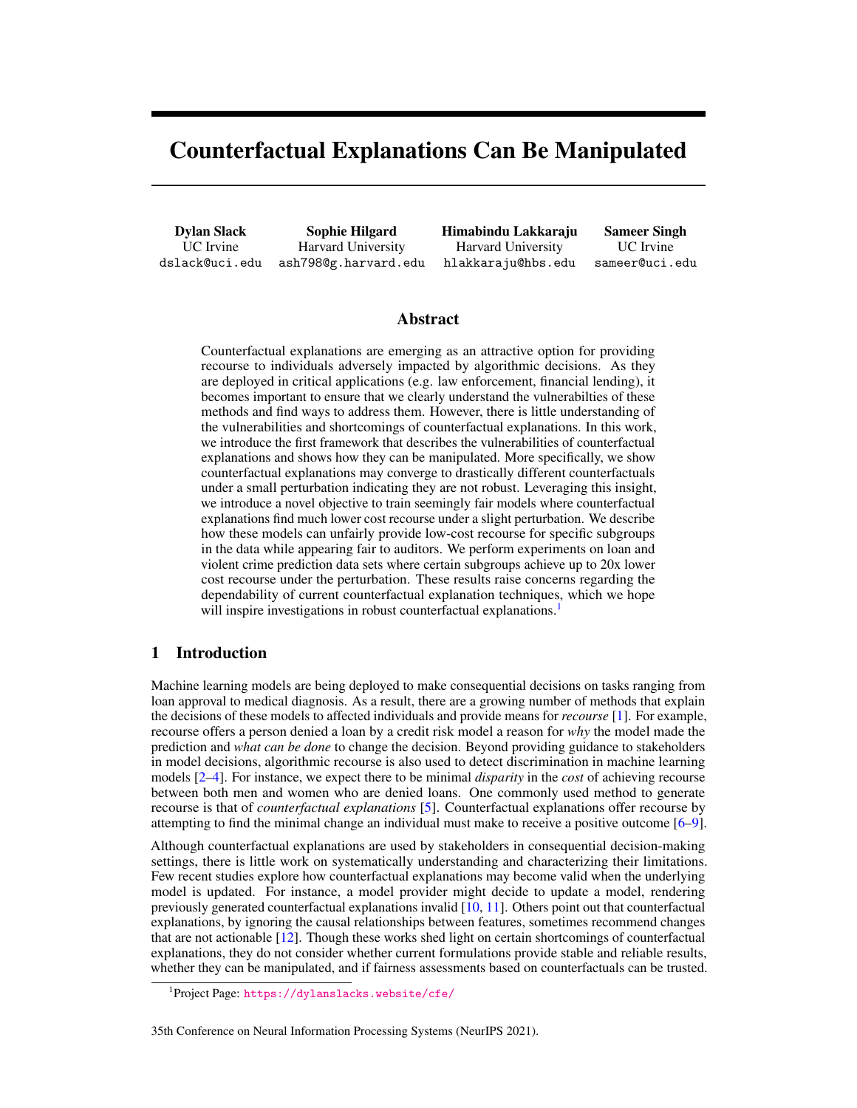and Crime dataset. Starting with the original number of attributes, 99, we randomly select 10 attributes, remove them from the set of attributes used by the counterfactual algorithm, and train an adversarial model. We repeat this process until we have 59 attributes left. We report the cost reduction due to  $(Eq(5))$  $(Eq(5))$  $(Eq(5))$  for each model, averaged over 5 runs. We observe that we are unable to find low cost recourses for adversarial model as we reduce the number of attributes, with minimal impact on accuracy (not in figure). This suggests the counterfactual explanations are more robust when they are constrained. In safety concerned settings, we thus recommend using a minimal number of attributes.

Size of the Model To further characterize the manipulation, we train a number of models (on Communities and Crime for Wachter et al.'s) that vary in their size. We show that as we increase the model size, we gain an even higher cost reduction, i.e. an 1.5 increase in the cost reduction when the similar additional parameters are added. This is not surprising, since more parameters provide further the flexibility to distort the decision surface as needed. As we reduce the size of the model, we see the opposite trend; the cost reduction reduces substantially when 4 fewer parameters are used. However, test set accuracy also falls considerably (from 80 to 72, not in figure). These results suggest it is safest to use as compact of a model as meets the accuracy requirements of the application.

Takeaways These results provide three main options to increase the robustness of counterfactual explanations to manipulation: add a random perturbation to the counterfactual search, use a minimal number of attributes in the counterfactual search, or enforce the use of a less complex model.

## 6 Related Work

Recourse Methods A variety of methods have been proposed to generate recourse for affected individuals [\[6,](#page-10-4) [1,](#page-10-0) [7–](#page-10-10)[9\]](#page-10-5). Wachter et al. [\[6\]](#page-10-4) propose gradient search for the closest counterfactual, while Ustun et al. [\[1\]](#page-10-0) introduce the notion of *actionable* recourse for linear classifiers and propose techniques to find such recourse using linear programming. Because counterfactuals generated by these techniques may produce unrealistic recommendations, Van Looveren and Klaise [\[9\]](#page-10-5) incorporate constraints in the counterfactual search to encourage them to be in-distribution. Similarly, other approaches incorporate causality in order to avoid such spurious counterfactuals [\[27,](#page-11-13) [12,](#page-10-8) [15\]](#page-11-1). Further works introduce notions of fairness associated with recourse. For instance, Ustun et al. [\[1\]](#page-10-0) demonstrate disparities in the cost of recourse between groups, which Sharma et al. [\[4\]](#page-10-2) use to evaluate fairness. Gupta et al. [\[2\]](#page-10-1) first proposed developing methods to *equalize* recourse between groups using SVMs. Karimi et al. [\[3\]](#page-10-12) establish the notion of fairness of recourse and demonstrate it is distinct from fairness of predictions. Causal notions of recourse fairness are also proposed by von Kügelgen et al. [\[28\]](#page-12-0).

Shortcomings of Explanations Pawelczyk et al. [\[11\]](#page-10-7) discuss counterfactuals under predictive multiplicity [\[29\]](#page-12-1) and demonstrate counterfactuals may not transfer across equally good models. Rawal et al. [\[10\]](#page-10-6) show counterfactual explanations find invalid recourse under distribution shift. Kasirzadeh and Smart [\[30\]](#page-12-2) consider how counterfactual explanations are currently misused and propose tenents to better guide their use. Work on strategic behavior considers how individuals might behave with access to either model transparency [\[31,](#page-12-3) [32\]](#page-12-4) or counterfactual explanations [\[33\]](#page-12-5), resulting in potentially sub-optimal outcomes. Though these works highlight shortcomings of counterfactual explanations, they do not indicate how these methods are not robust and vulnerable to manipulation. Related studies show that post hoc explanations techniques like LIME [\[34\]](#page-12-6) and SHAP [\[35\]](#page-12-7) can also hide the biases of the models [\[24\]](#page-11-10), and so can gradient-based explanations [\[36,](#page-12-8) [37\]](#page-12-9). Aivodji et al. [\[38\]](#page-12-10) and Anders et al. [\[39\]](#page-12-11) show explanations can make unfair models appear fair.

## 7 Potential Impacts

In this section, we discuss potential impacts of developing adversarial models and evaluating on crime prediction tasks.

**Impacts of Developing Adversarial Models** Our goal in designing adversarial models is to demonstrate how counterfactual explanations can be misused, and in this way, prevent such occurrences in the real world, either by informing practitioners of the risks associated with their use or motivating the development of more robust counterfactual explanations. However, there are some risks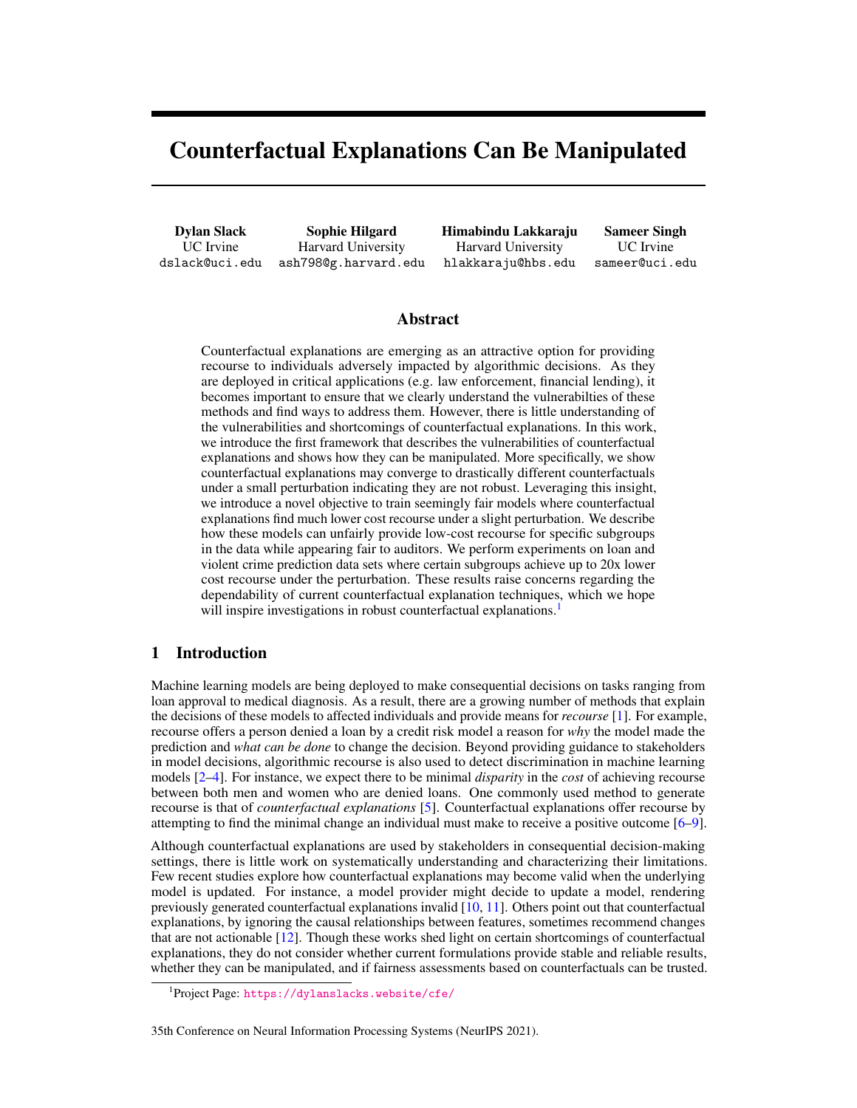that the proposed techniques could be applied to generate manipulative models that are used for harmful purposes. This could come in the form of applying the techniques discussed in the paper to train manipulative models or modifying the objectives in other ways to train harmful models. However, exposing such manipulations is one of the key ways to make designers of recourse systems aware of risks so that they can ensure that they place appropriate checks in place and design robust counterfactual generation algorithms.

Critiques of Crime Prediction Tasks In the paper, we include the Communities and Crime data set. The goal of this data set is to predict whether violent crime occurs in communities. Using machine learning in the contexts of criminal justice and crime prediction has been extensively critiqued by the fairness community  $[40-42]$  $[40-42]$ . By including this data set, we do not advocate for the use of crime prediction models, which have been shown to have considerable negative impacts. Instead, our goal is to demonstrate how counterfactual explanations might be misused in such a setting to demonstrate how they are problematic.

# 8 Discussion & Conclusion

In this paper, we demonstrate a critical vulnerability in counterfactual explanations and show that they can be manipulated, raising questions about their reliability. We show such manipulations are possible across a variety of commonly-used counterfactual explanations, including Wachter [\[6\]](#page-10-4), a sparse version of Wachter, Counterfactuals guided by prototypes [\[9\]](#page-10-5), and DiCE [\[13\]](#page-10-9). These results bring into the question the trustworthiness of counterfactual explanations as a tool to recommend recourse to algorithm stakeholders. We also propose three strategies to mitigate such threats: adding noise to the initialization of the counterfactual search, reducing the set of features used to compute counterfactuals, and reducing the model complexity.

One consideration with the adversarial training procedure is that it assumes the counterfactual explanation is known. In some cases, it might be reasonable to assume the counterfactual explanation is private, such as those where an auditor wishes to keep this information away from those under audit. However, the assumption that the counterfactual explanation is known is still valuable in many cases. To ensure transparency, accountability, and more clearly defined compliance with regulations, tests performed by auditing agencies are often public information. As one real-world example, the EPA in the USA publishes standard tests they perform [\[43\]](#page-13-0). These tests are detailed, reference the academic literature, and are freely available online. Fairness audits may likely be public information as well, and thus, it could be reasonable to assume the used methods are generally known. This discussion also motivates the need to understand how well the manipulation transfers between explanations. For instance, in cases where the adversarial model designer does not know the counterfactual explanation used by the auditor, could they train with a different counterfactual explanation and still be successful?

Our results also motivate several futher research directions. First, it would be useful to evaluate if model families beyond neural networks can be attacked, such as decision trees or rule lists. In this work, we consider neural networks because they provide the capacity to optimize the objectives in Equations [\(3\)](#page-4-1) and [\(4\)](#page-4-2) as well as the (over) expressiveness necessary to make the attack successful. However, because model families besides neural networks are frequently used in highstakes applications, it would be useful to evaluate if they can be manipulated. Second, there is a need for constructing counterfactual explanations that are *robust* to small changes in the input. Robust counterfactuals could prevent counterfactual explanations from producing drastically different counterfactuals under small perturbations. Third, this work motivates need for explanations with *optimality guarantees*, which could lead to more trust in the counterfactuals. Last, it could be useful to study when practitioners should use simpler models, such as in consequential domains, to have more knowledge about their decision boundaries, even if it is at the cost of accuracy.

## 9 Acknowledgments

We would like to thank the anonymous reviewers for their insightful feedback. This work is supported in part by the NSF awards #IIS-2008461, #IIS-2008956, and #IIS-2040989, and research awards from the Harvard Data Science Institute, Amazon, Bayer, Google, and the HPI Research Center in Machine Learning and Data Science at UC Irvine. The views expressed are those of the authors and do not reflect the official policy or position of the funding agencies.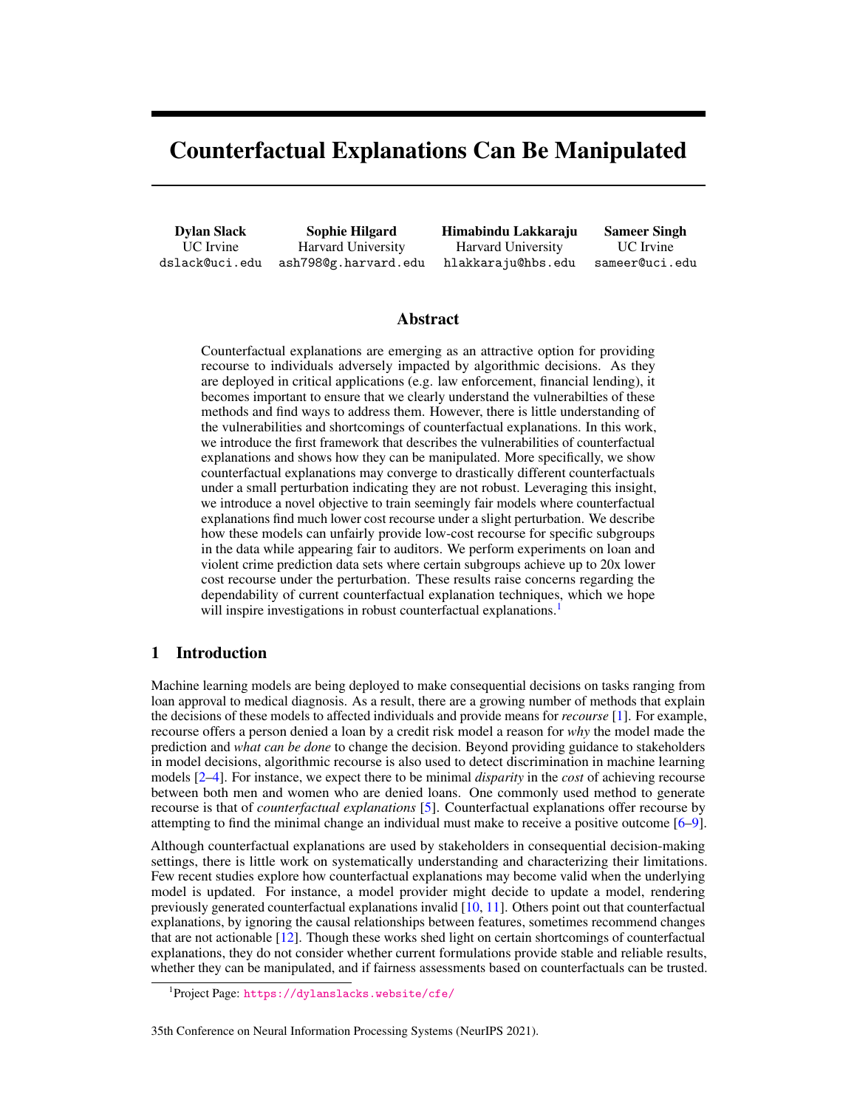## References

- <span id="page-10-0"></span>[1] Berk Ustun, Alexander Spangher, and Yang Liu. Actionable recourse in linear classification. In *Proceedings of the Conference on Fairness, Accountability, and Transparency*, FAT\* '19, pages 10–19. ACM, 2019. ISBN 978-1-4503-6125-5. doi: 10.1145/3287560.3287566. URL <http://doi.acm.org/10.1145/3287560.3287566>.
- <span id="page-10-1"></span>[2] Vivek Gupta, Pegah Nokhiz, Chitradeep Dutta Roy, and Suresh Venkatasubramanian. Equalizing recourse across groups. 09 2019.
- <span id="page-10-12"></span>[3] Amir-Hossein Karimi, Gilles Barthe, Bernhard Schölkopf, and Isabel Valera. A survey of algorithmic recourse: definitions, formulations, solutions, and prospects. *arXiv e-prints*, art. arXiv:2010.04050, October 2020.
- <span id="page-10-2"></span>[4] Shubham Sharma, Jette Henderson, and Joydeep Ghosh. Certifai: A common framework to provide explanations and analyse the fairness and robustness of black-box models. In *Proceedings of the AAAI/ACM Conference on AI, Ethics, and Society*, AIES '20, page 166–172, New York, NY, USA, 2020. Association for Computing Machinery. ISBN 9781450371100. doi: 10.1145/3375627.3375812. URL <https://doi.org/10.1145/3375627.3375812>.
- <span id="page-10-3"></span>[5] Umang Bhatt, Alice Xiang, Shubham Sharma, Adrian Weller, Ankur Taly, Yunhan Jia, Joydeep Ghosh, Ruchir Puri, José M. F. Moura, and Peter Eckersley. Explainable machine learning in deployment. In *Proceedings of the 2020 Conference on Fairness, Accountability, and Transparency*, FAT\* '20, page 648–657, New York, NY, USA, 2020. Association for Computing Machinery. ISBN 9781450369367. doi: 10.1145/3351095.3375624. URL [https://doi.org/](https://doi.org/10.1145/3351095.3375624) [10.1145/3351095.3375624](https://doi.org/10.1145/3351095.3375624).
- <span id="page-10-4"></span>[6] Sandra Wachter, Brent Mittelstadt, and Chris Russell. Counterfactual explanations without opening the black box: Automated decisions and the gdpr. *Harvard journal of law & technology*, 31:841–887, 04 2018. doi: 10.2139/ssrn.3063289.
- <span id="page-10-10"></span>[7] A.-H. Karimi, G. Barthe, B. Balle, and I. Valera. Model-agnostic counterfactual explanations for consequential decisions. In *Proceedings of the 23rd International Conference on Artificial Intelligence and Statistics (AISTATS)*, volume 108 of *Proceedings of Machine Learning Research*, pages 895–905. PMLR, August 2020. URL [http://proceedings.mlr.press/](http://proceedings.mlr.press/v108/karimi20a.html) [v108/karimi20a.html](http://proceedings.mlr.press/v108/karimi20a.html).
- <span id="page-10-11"></span>[8] Rafael Poyiadzi, Kacper Sokol, Raul Santos-Rodriguez, Tijl De Bie, and Peter Flach. Face: Feasible and actionable counterfactual explanations. In *Proceedings of the AAAI/ACM Conference on AI, Ethics, and Society*, AIES '20, page 344–350, New York, NY, USA, 2020. Association for Computing Machinery. ISBN 9781450371100. doi: 10.1145/3375627.3375850. URL <https://doi.org/10.1145/3375627.3375850>.
- <span id="page-10-5"></span>[9] Arnaud Van Looveren and Janis Klaise. Interpretable Counterfactual Explanations Guided by Prototypes. *arXiv*, art. arXiv:1907.02584, July 2019.
- <span id="page-10-6"></span>[10] Kaivalya Rawal, Ece Kamar, and Himabindu Lakkaraju. Can i still trust you?: Understanding the impact of distribution shifts on algorithmic recourses. *arXiv*, 2020.
- <span id="page-10-7"></span>[11] Martin Pawelczyk, Klaus Broelemann, and Gjergji. Kasneci. On counterfactual explanations under predictive multiplicity. In Jonas Peters and David Sontag, editors, *Proceedings of the 36th Conference on Uncertainty in Artificial Intelligence (UAI)*, volume 124 of *Proceedings of Machine Learning Research*, pages 809–818. PMLR, 03–06 Aug 2020. URL [http://](http://proceedings.mlr.press/v124/pawelczyk20a.html) [proceedings.mlr.press/v124/pawelczyk20a.html](http://proceedings.mlr.press/v124/pawelczyk20a.html).
- <span id="page-10-8"></span>[12] A.-H. Karimi\*, J. von Kügelgen\*, B. Schölkopf, and I. Valera. Algorithmic recourse under imperfect causal knowledge: a probabilistic approach. In *Advances in Neural Information Processing Systems 33*, December 2020. \*equal contribution.
- <span id="page-10-9"></span>[13] Ramaravind K Mothilal, Amit Sharma, and Chenhao Tan. Explaining machine learning classifiers through diverse counterfactual explanations. In *Proceedings of the 2020 Conference on Fairness, Accountability, and Transparency*, pages 607–617, 2020.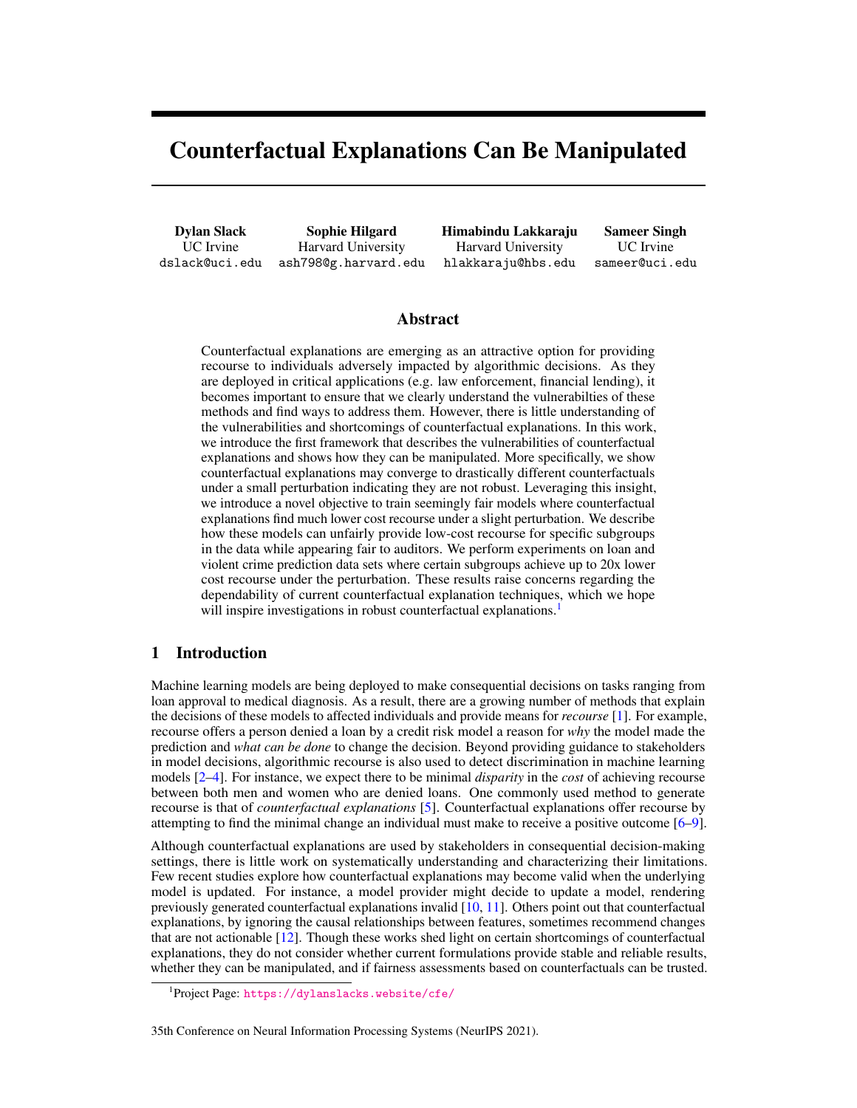- <span id="page-11-0"></span>[14] Suresh Venkatasubramanian and Mark Alfano. The philosophical basis of algorithmic recourse. In *Proceedings of the 2020 Conference on Fairness, Accountability, and Transparency*, FAT\* '20, page 284–293, New York, NY, USA, 2020. Association for Computing Machinery. ISBN 9781450369367. doi: 10.1145/3351095.3372876. URL [https:](https://doi.org/10.1145/3351095.3372876) [//doi.org/10.1145/3351095.3372876](https://doi.org/10.1145/3351095.3372876).
- <span id="page-11-1"></span>[15] Solon Barocas, Andrew D. Selbst, and Manish Raghavan. The hidden assumptions behind counterfactual explanations and principal reasons. In *Proceedings of the 2020 Conference on Fairness, Accountability, and Transparency*, FAT\* '20, page 80–89, New York, NY, USA, 2020. Association for Computing Machinery. ISBN 9781450369367. doi: 10.1145/3351095.3372830. URL <https://doi.org/10.1145/3351095.3372830>.
- <span id="page-11-2"></span>[16] Amit Dhurandhar, Pin-Yu Chen, Ronny Luss, Chun-Chen Tu, Paishun Ting, Karthikeyan Shanmugam, and Payel Das. Explanations based on the missing: Towards contrastive explanations with pertinent negatives. In S. Bengio, H. Wallach, H. Larochelle, K. Grauman, N. Cesa-Bianchi, and R. Garnett, editors, *Advances in Neural Information Processing Systems*, volume 31, pages 592–603. Curran Associates, Inc., 2018. URL [https://proceedings.neurips.cc/paper/](https://proceedings.neurips.cc/paper/2018/file/c5ff2543b53f4cc0ad3819a36752467b-Paper.pdf) [2018/file/c5ff2543b53f4cc0ad3819a36752467b-Paper.pdf](https://proceedings.neurips.cc/paper/2018/file/c5ff2543b53f4cc0ad3819a36752467b-Paper.pdf).
- <span id="page-11-3"></span>[17] Basura Fernando and Stephen Gould. Learning end-to-end video classification with rankpooling. In *Proceedings of the 33rd International Conference on International Conference on Machine Learning - Volume 48*, ICML'16, page 1187–1196. JMLR.org, 2016.
- <span id="page-11-4"></span>[18] Dimitri Bertsekas and Robert Gallager. *Data Networks (2nd Ed.)*. Prentice-Hall, Inc., USA, 1992. ISBN 0132009161.
- <span id="page-11-5"></span>[19] Sahil Verma, John Dickerson, and Keegan Hines. Counterfactual explanations for machine learning: A review. arXiv, 10 2020.
- <span id="page-11-6"></span>[20] Ilia Stepin, Jose M. Alonso, Alejandro Catala, and Martín Pereira-Fariña. A survey of contrastive and counterfactual explanation generation methods for explainable artificial intelligence. *IEEE Access*, 9:11974–12001, 2021. doi: 10.1109/ACCESS.2021.3051315.
- <span id="page-11-7"></span>[21] Dheeru Dua and Casey Graff. UCI machine learning repository, 2017. URL [http://archive.](http://archive.ics.uci.edu/ml) [ics.uci.edu/ml](http://archive.ics.uci.edu/ml).
- <span id="page-11-8"></span>[22] Sorelle A. Friedler, Carlos Scheidegger, Suresh Venkatasubramanian, Sonam Choudhary, Evan P. Hamilton, and Derek Roth. A comparative study of fairness-enhancing interventions in machine learning. In *Proceedings of the Conference on Fairness, Accountability, and Transparency*, FAT\* '19, page 329–338, New York, NY, USA, 2019. Association for Computing Machinery. ISBN 9781450361255. doi: 10.1145/3287560.3287589. URL [https://doi.org/10.1145/](https://doi.org/10.1145/3287560.3287589) [3287560.3287589](https://doi.org/10.1145/3287560.3287589).
- <span id="page-11-9"></span>[23] Perry McGarry. Performance incentive funding. In *VERA*, 2012.
- <span id="page-11-10"></span>[24] Dylan Slack, Sophie Hilgard, Emily Jia, Sameer Singh, and Himabindu Lakkaraju. Fooling lime and shap: Adversarial attacks on post hoc explanation methods. *AAAI/ACM Conference on Artificial Intelligence, Ethics, and Society (AIES)*, 2020.
- <span id="page-11-11"></span>[25] Martin Pawelczyk, Klaus Broelemann, and Gjergji Kasneci. *Learning Model-Agnostic Counterfactual Explanations for Tabular Data*, page 3126–3132. Association for Computing Machinery, New York, NY, USA, 2020. ISBN 9781450370233. URL [https:](https://doi.org/10.1145/3366423.3380087) [//doi.org/10.1145/3366423.3380087](https://doi.org/10.1145/3366423.3380087).
- <span id="page-11-12"></span>[26] Markus M. Breunig, Hans-Peter Kriegel, Raymond T. Ng, and Jörg Sander. Lof: Identifying density-based local outliers. *SIGMOD Rec.*, 29(2):93–104, May 2000. ISSN 0163-5808. doi: 10.1145/335191.335388. URL <https://doi.org/10.1145/335191.335388>.
- <span id="page-11-13"></span>[27] A.-H. Karimi, B. Schölkopf, and I. Valera. Algorithmic recourse: from counterfactual explanations to interventions. In *4th Conference on Fairness, Accountability, and Transparency (ACM FAccT)*, March 2021.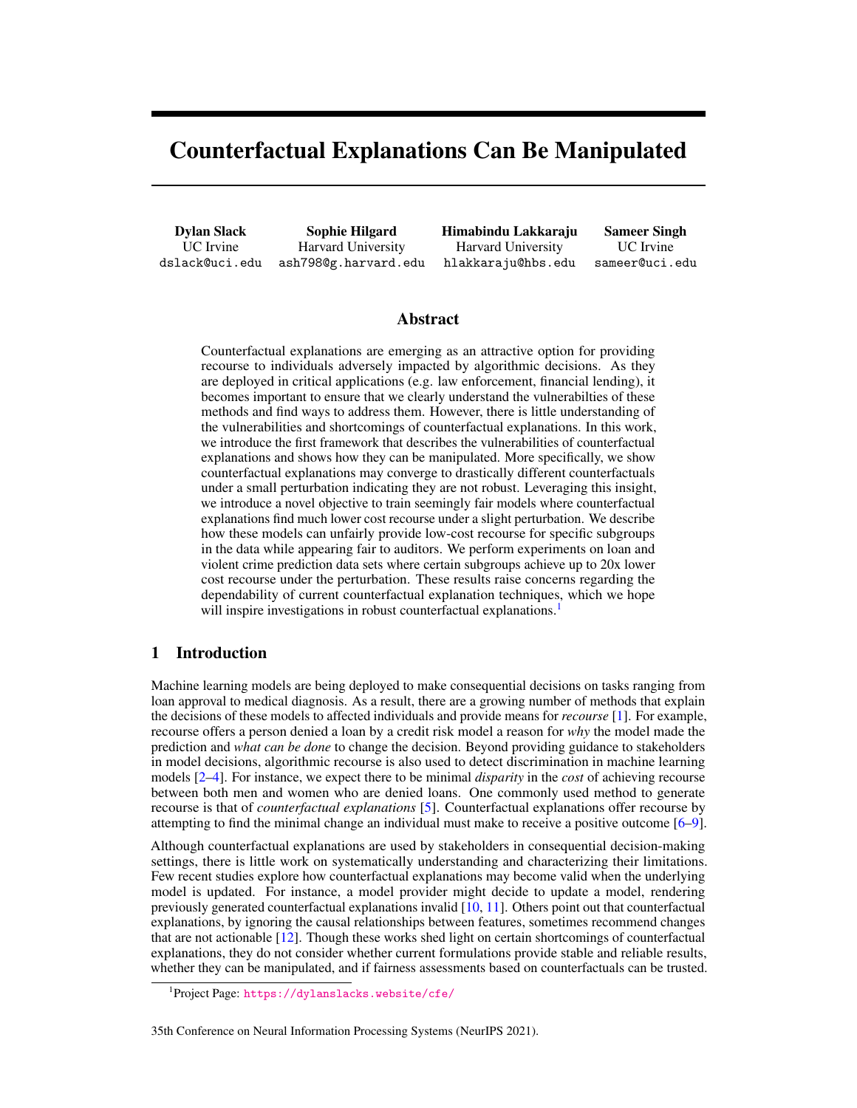- <span id="page-12-0"></span>[28] Julius von Kügelgen, Amir-Hossein Karimi, Umang Bhatt, Isabel Valera, Adrian Weller, and Bernhard Schölkopf. On the fairness of causal algorithmic recourse. AFCI Workshop, NeurIPS, 2020.
- <span id="page-12-1"></span>[29] Charles T. Marx, F. Calmon, and Berk Ustun. Predictive multiplicity in classification. In *ICML*, 2020.
- <span id="page-12-2"></span>[30] Atoosa Kasirzadeh and Andrew Smart. The use and misuse of counterfactuals in ethical machine learning. In *Proceedings of the 2021 ACM Conference on Fairness, Accountability, and Transparency*, FAccT '21, page 228–236, New York, NY, USA, 2021. Association for Computing Machinery. ISBN 9781450383097. doi: 10.1145/3442188.3445886. URL [https:](https://doi.org/10.1145/3442188.3445886) [//doi.org/10.1145/3442188.3445886](https://doi.org/10.1145/3442188.3445886).
- <span id="page-12-3"></span>[31] Yatong Chen, Jialu Wang, and Yang Liu. Strategic classification with a light touch: Learning classifiers that incentivize constructive adaptation, 2020.
- <span id="page-12-4"></span>[32] Behzad Tabibian, Stratis Tsirtsis, Moein Khajehnejad, Adish Singla, Bernhard Schölkopf, and Manuel Gomez-Rodriguez. Optimal decision making under strategic behavior. *arXiv preprint arXiv:1905.09239*, 2019.
- <span id="page-12-5"></span>[33] Stratis Tsirtsis and Manuel Gomez-Rodriguez. Decisions, counterfactual explanations and strategic behavior. In *Advances in Neural Information Processing Systems (NeurIPS)*, 2020.
- <span id="page-12-6"></span>[34] Marco Tulio Ribeiro, Sameer Singh, and Carlos Guestrin. "why should I trust you?": Explaining the predictions of any classifier. In *Proceedings of the 22nd ACM SIGKDD International Conference on Knowledge Discovery and Data Mining, San Francisco, CA, USA, August 13-17, 2016*, pages 1135–1144, 2016.
- <span id="page-12-7"></span>[35] Scott M Lundberg and Su-In Lee. A unified approach to interpreting model predictions. In I. Guyon, U. V. Luxburg, S. Bengio, H. Wallach, R. Fergus, S. Vishwanathan, and R. Garnett, editors, *Advances in Neural Information Processing Systems 30*, pages 4765–4774. Curran Associates, Inc., 2017.
- <span id="page-12-8"></span>[36] B. Dimanov, Umang Bhatt, M. Jamnik, and Adrian Weller. You shouldn't trust me: Learning models which conceal unfairness from multiple explanation methods. In *SafeAI@AAAI*, 2020.
- <span id="page-12-9"></span>[37] Junlin Wang, Jens Tuyls, Eric Wallace, and Sameer Singh. Gradient-based Analysis of NLP Models is Manipulable. In *Findings of the Association for Computational Linguistics: EMNLP (EMNLP Findings)*, page 247–258, 2020.
- <span id="page-12-10"></span>[38] Ulrich Aivodji, Hiromi Arai, Olivier Fortineau, Sébastien Gambs, Satoshi Hara, and Alain Tapp. Fairwashing: the risk of rationalization. In Kamalika Chaudhuri and Ruslan Salakhutdinov, editors, *Proceedings of the 36th International Conference on Machine Learning*, volume 97 of *Proceedings of Machine Learning Research*, pages 161–170. PMLR, 09–15 Jun 2019. URL <http://proceedings.mlr.press/v97/aivodji19a.html>.
- <span id="page-12-11"></span>[39] Christopher Anders, Plamen Pasliev, Ann-Kathrin Dombrowski, Klaus-Robert Müller, and Pan Kessel. Fairwashing explanations with off-manifold detergent. In Hal Daumé III and Aarti Singh, editors, *Proceedings of the 37th International Conference on Machine Learning*, volume 119 of *Proceedings of Machine Learning Research*, pages 314–323. PMLR, 13–18 Jul 2020. URL <http://proceedings.mlr.press/v119/anders20a.html>.
- <span id="page-12-12"></span>[40] Julia Angwin, Jeff Larson, Surya Mattu, and Lauren Kirchner. Machine bias. In *ProPublica*, 2016.
- [41] Cynthia Rudin, Caroline Wang, and Beau Coker. The age of secrecy and unfairness in recidivism prediction. *Harvard Data Science Review*, 2(1), 3 2020. doi: 10.1162/99608f92.6ed64b30. URL <https://hdsr.mitpress.mit.edu/pub/7z10o269>. https://hdsr.mitpress.mit.edu/pub/7z10o269.
- <span id="page-12-13"></span>[42] Julia Dressel and Hany Farid. The accuracy, fairness, and limits of predicting recidivism. *Science Advances*, 4(1):eaao5580, 2018. doi: 10.1126/sciadv.aao5580. URL [https://www.](https://www.science.org/doi/abs/10.1126/sciadv.aao5580) [science.org/doi/abs/10.1126/sciadv.aao5580](https://www.science.org/doi/abs/10.1126/sciadv.aao5580).